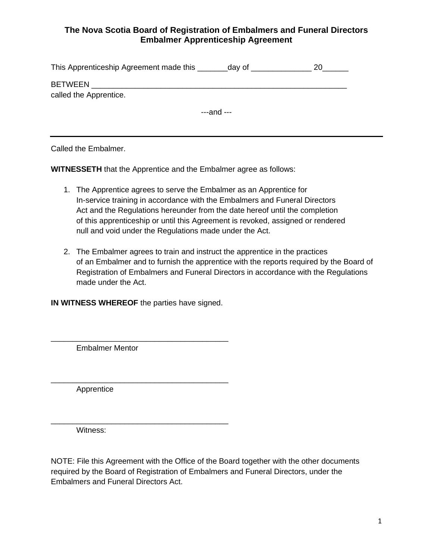## **The Nova Scotia Board of Registration of Embalmers and Funeral Directors Embalmer Apprenticeship Agreement**

| This Apprenticeship Agreement made this  | day of          |  |
|------------------------------------------|-----------------|--|
| <b>BETWEEN</b><br>called the Apprentice. |                 |  |
|                                          | $---$ and $---$ |  |

Called the Embalmer.

**WITNESSETH** that the Apprentice and the Embalmer agree as follows:

- 1. The Apprentice agrees to serve the Embalmer as an Apprentice for In-service training in accordance with the Embalmers and Funeral Directors Act and the Regulations hereunder from the date hereof until the completion of this apprenticeship or until this Agreement is revoked, assigned or rendered null and void under the Regulations made under the Act.
- 2. The Embalmer agrees to train and instruct the apprentice in the practices of an Embalmer and to furnish the apprentice with the reports required by the Board of Registration of Embalmers and Funeral Directors in accordance with the Regulations made under the Act.

**IN WITNESS WHEREOF** the parties have signed.

\_\_\_\_\_\_\_\_\_\_\_\_\_\_\_\_\_\_\_\_\_\_\_\_\_\_\_\_\_\_\_\_\_\_\_\_\_\_\_\_\_

\_\_\_\_\_\_\_\_\_\_\_\_\_\_\_\_\_\_\_\_\_\_\_\_\_\_\_\_\_\_\_\_\_\_\_\_\_\_\_\_\_

\_\_\_\_\_\_\_\_\_\_\_\_\_\_\_\_\_\_\_\_\_\_\_\_\_\_\_\_\_\_\_\_\_\_\_\_\_\_\_\_\_

Embalmer Mentor

Apprentice

Witness:

NOTE: File this Agreement with the Office of the Board together with the other documents required by the Board of Registration of Embalmers and Funeral Directors, under the Embalmers and Funeral Directors Act.